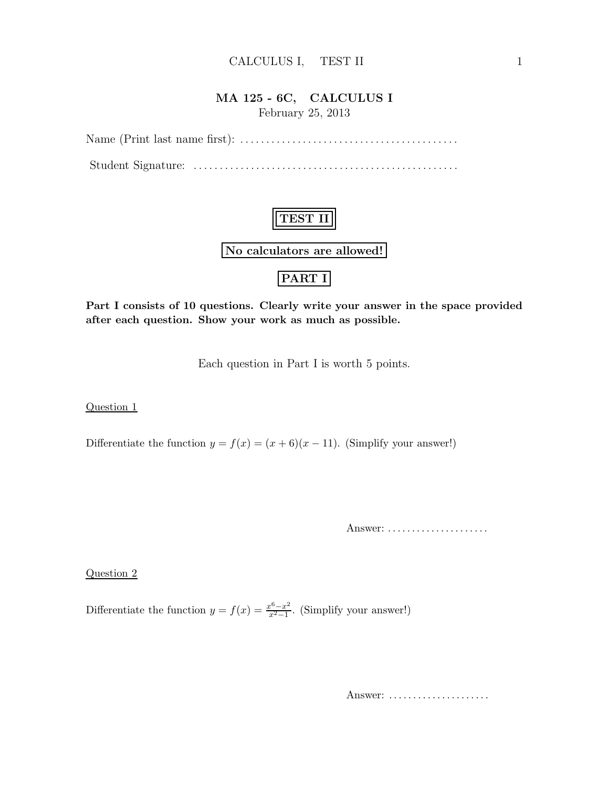#### CALCULUS I, TEST II 1

# MA 125 - 6C, CALCULUS I

February 25, 2013

Name (Print last name first): . . . . . . . . . . . . . . . . . . . . . . . . . . . . . . . . . . . . . . . . . . Student Signature: . . . . . . . . . . . . . . . . . . . . . . . . . . . . . . . . . . . . . . . . . . . . . . . . . . .

# TEST II No calculators are allowed!

### PART I

Part I consists of 10 questions. Clearly write your answer in the space provided after each question. Show your work as much as possible.

Each question in Part I is worth 5 points.

Question 1

Differentiate the function  $y = f(x) = (x+6)(x-11)$ . (Simplify your answer!)

Answer: .....................

Question 2

Differentiate the function  $y = f(x) = \frac{x^6 - x^2}{x^2 - 1}$  $\frac{x^2-x^2}{x^2-1}$ . (Simplify your answer!)

Answer: .....................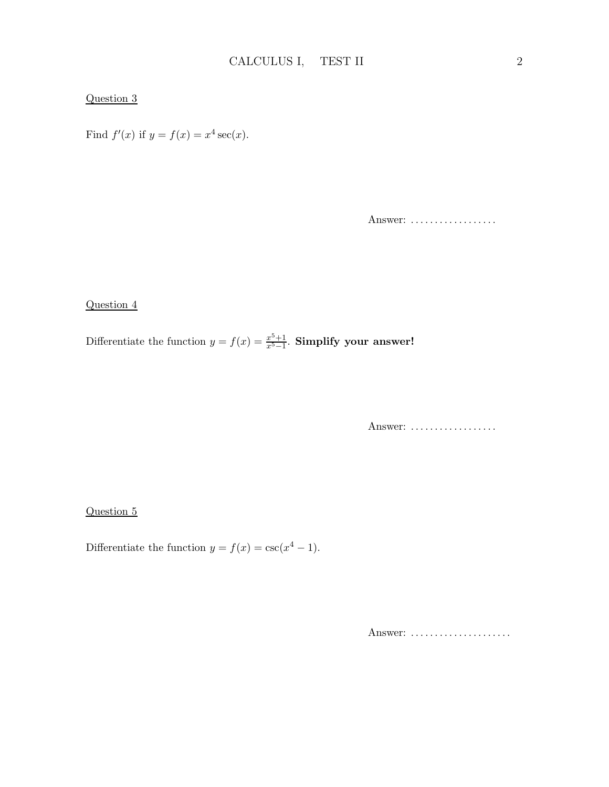#### Question 3

Find  $f'(x)$  if  $y = f(x) = x^4 \sec(x)$ .

Answer: ..................

#### Question 4

Differentiate the function  $y = f(x) = \frac{x^5 + 1}{x^5 - 1}$  $\frac{x^{\circ}+1}{x^{5}-1}$ . Simplify your answer!

Answer: ..................

#### Question 5

Differentiate the function  $y = f(x) = \csc(x^4 - 1)$ .

Answer: ......................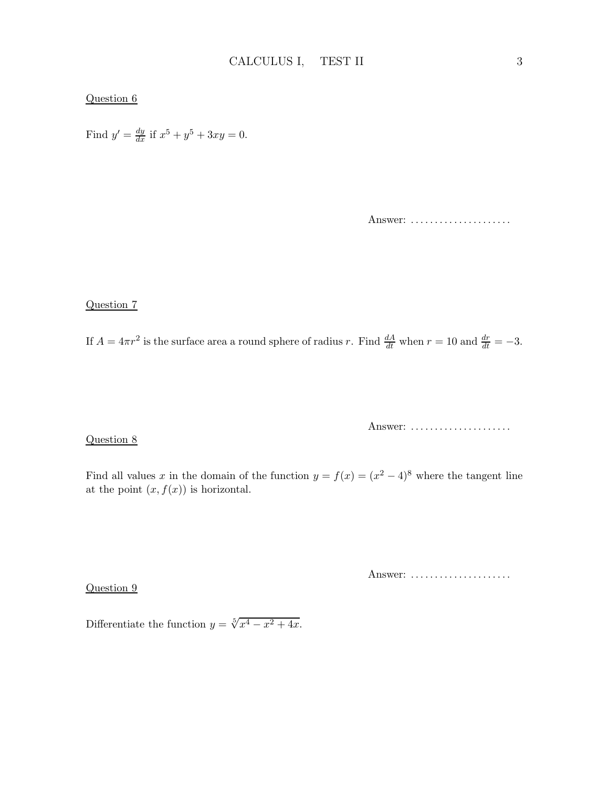#### Question 6

Find  $y' = \frac{dy}{dx}$  if  $x^5 + y^5 + 3xy = 0$ .

Answer: ......................

Question 7

If  $A = 4\pi r^2$  is the surface area a round sphere of radius r. Find  $\frac{dA}{dt}$  when  $r = 10$  and  $\frac{dr}{dt} = -3$ .

Question 8

Answer: ......................

Find all values x in the domain of the function  $y = f(x) = (x^2 - 4)^8$  where the tangent line at the point  $(x, f(x))$  is horizontal.

Question 9

Answer: ......................

Differentiate the function  $y = \sqrt[5]{x^4 - x^2 + 4x}$ .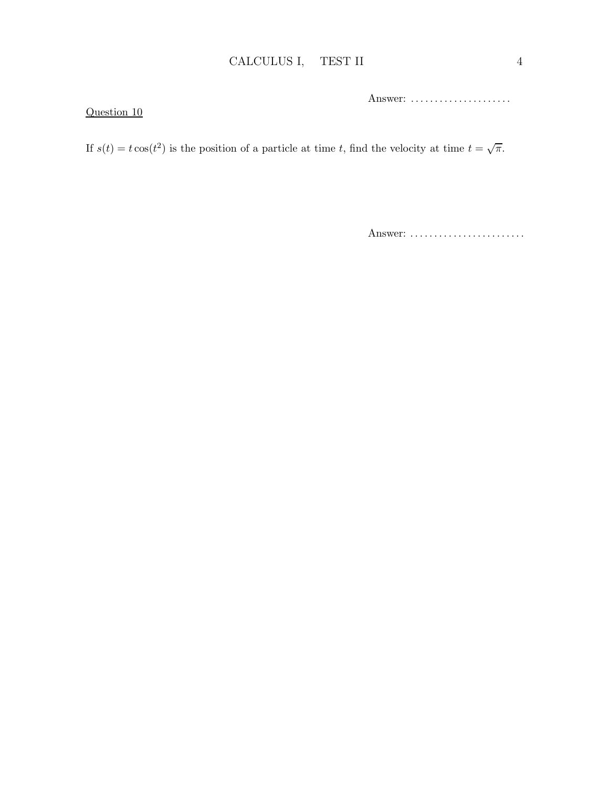Answer: ......................

Question 10

If  $s(t) = t \cos(t^2)$  is the position of a particle at time t, find the velocity at time  $t = \sqrt{\pi}$ .

Answer: ..........................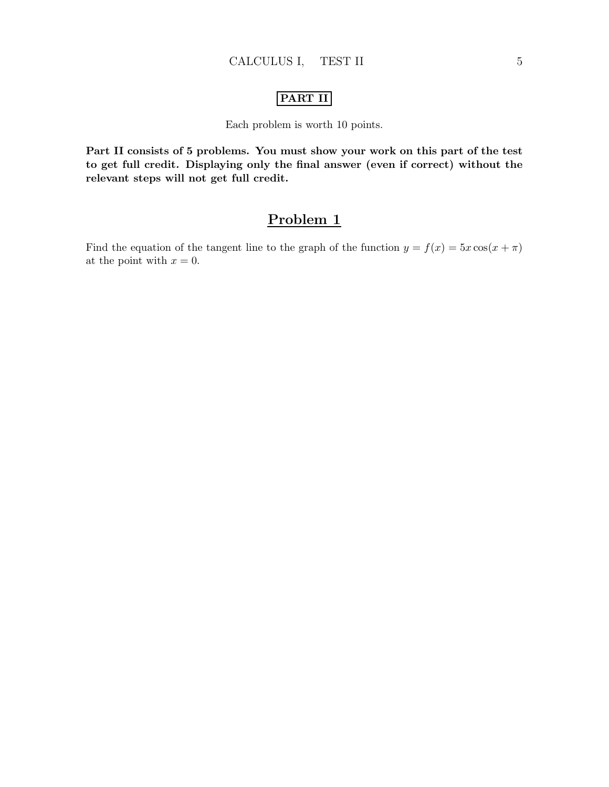#### PART II

#### Each problem is worth 10 points.

Part II consists of 5 problems. You must show your work on this part of the test to get full credit. Displaying only the final answer (even if correct) without the relevant steps will not get full credit.

### Problem 1

Find the equation of the tangent line to the graph of the function  $y = f(x) = 5x \cos(x + \pi)$ at the point with  $x = 0$ .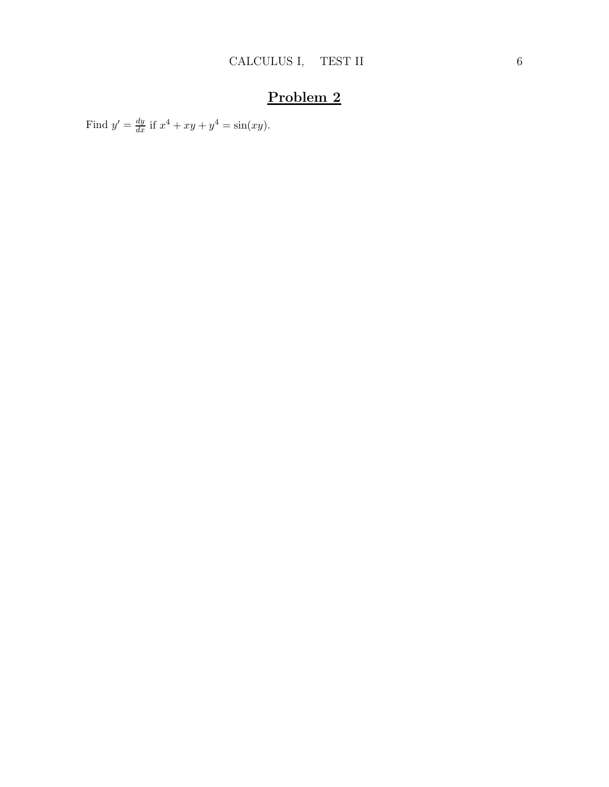Find  $y' = \frac{dy}{dx}$  if  $x^4 + xy + y^4 = \sin(xy)$ .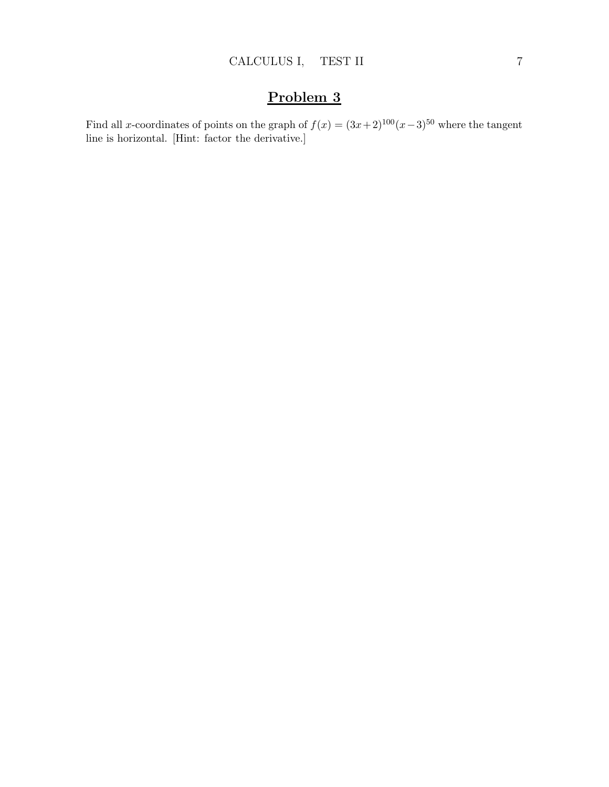Find all x-coordinates of points on the graph of  $f(x) = (3x+2)^{100}(x-3)^{50}$  where the tangent line is horizontal. [Hint: factor the derivative.]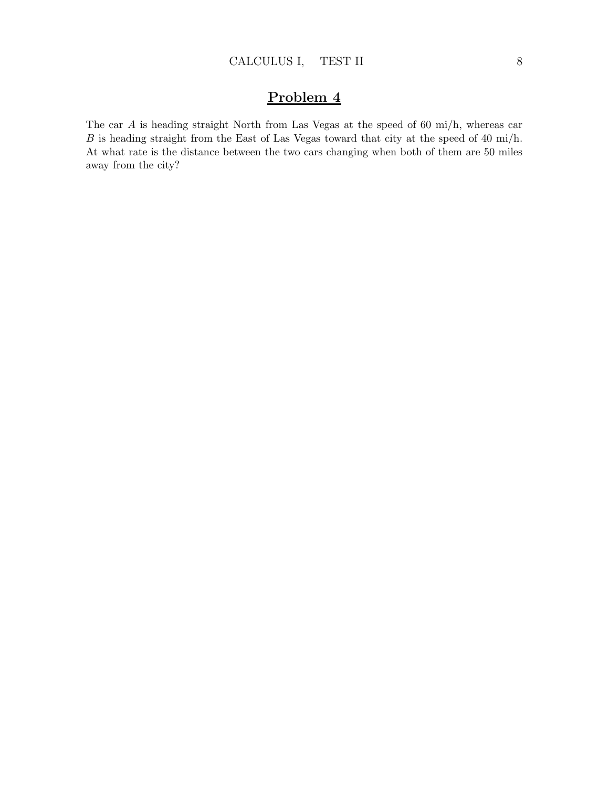The car A is heading straight North from Las Vegas at the speed of 60 mi/h, whereas car B is heading straight from the East of Las Vegas toward that city at the speed of 40 mi/h. At what rate is the distance between the two cars changing when both of them are 50 miles away from the city?